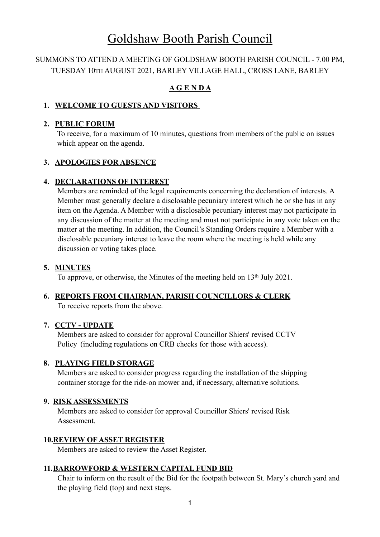# Goldshaw Booth Parish Council

# SUMMONS TO ATTEND A MEETING OF GOLDSHAW BOOTH PARISH COUNCIL - 7.00 PM, TUESDAY 10TH AUGUST 2021, BARLEY VILLAGE HALL, CROSS LANE, BARLEY

# **A G E N D A**

## **1. WELCOME TO GUESTS AND VISITORS**

## **2. PUBLIC FORUM**

To receive, for a maximum of 10 minutes, questions from members of the public on issues which appear on the agenda.

# **3. APOLOGIES FOR ABSENCE**

# **4. DECLARATIONS OF INTEREST**

 Members are reminded of the legal requirements concerning the declaration of interests. A Member must generally declare a disclosable pecuniary interest which he or she has in any item on the Agenda. A Member with a disclosable pecuniary interest may not participate in any discussion of the matter at the meeting and must not participate in any vote taken on the matter at the meeting. In addition, the Council's Standing Orders require a Member with a disclosable pecuniary interest to leave the room where the meeting is held while any discussion or voting takes place.

## **5. MINUTES**

To approve, or otherwise, the Minutes of the meeting held on 13<sup>th</sup> July 2021.

# **6. REPORTS FROM CHAIRMAN, PARISH COUNCILLORS & CLERK**

To receive reports from the above.

# **7. CCTV - UPDATE**

 Members are asked to consider for approval Councillor Shiers' revised CCTV Policy (including regulations on CRB checks for those with access).

# **8. PLAYING FIELD STORAGE**

Members are asked to consider progress regarding the installation of the shipping container storage for the ride-on mower and, if necessary, alternative solutions.

# **9. RISK ASSESSMENTS**

Members are asked to consider for approval Councillor Shiers' revised Risk Assessment.

# **10.REVIEW OF ASSET REGISTER**

Members are asked to review the Asset Register.

# **11.BARROWFORD & WESTERN CAPITAL FUND BID**

 Chair to inform on the result of the Bid for the footpath between St. Mary's church yard and the playing field (top) and next steps.